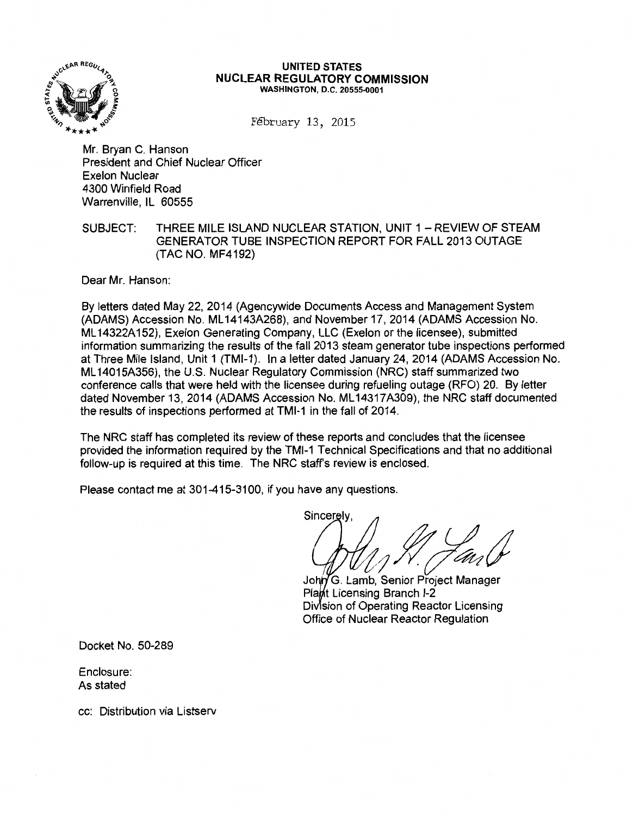

#### UNITED STATES NUCLEAR REGULATORY COMMISSION WASHINGTON, D.C. 20555-0001

F€bruary 13, 2015

Mr. Bryan C. Hanson President and Chief Nuclear Officer Exelon Nuclear 4300 Winfield Road Warrenville, IL 60555

# SUBJECT: THREE MILE ISLAND NUCLEAR STATION, UNIT 1 - REVIEW OF STEAM GENERATOR TUBE INSPECTION REPORT FOR FALL 2013 OUTAGE (TAC NO. MF4192)

Dear Mr. Hanson:

By letters dated May 22, 2014 (Agencywide Documents Access and Management System (ADAMS) Accession No. ML 14143A268), and November 17, 2014 (ADAMS Accession No. ML 14322A 152), Exelon Generating Company, LLC (Exelon or the licensee}, submitted information summarizing the results of the fall 2013 steam generator tube inspections performed at Three Mile Island, Unit 1 (TMl-1). In a letter dated January 24, 2014 (ADAMS Accession No. ML 14015A356}, the U.S. Nuclear Regulatory Commission (NRC) staff summarized two conference calls that were held with the licensee during refueling outage (RFO) 20. By letter dated November 13, 2014 (ADAMS Accession No. ML 14317A309), the NRC staff documented the results of inspections performed at TMl-1 in the fall of 2014.

The NRC staff has completed its review of these reports and concludes that the licensee provided the information required by the TMl-1 Technical Specifications and that no additional follow-up is required at this time. The NRC staff's review is enclosed.

Please contact me at 301-415-3100, if you have any questions.

Sincerely  $\mathcal{U}_1$ SV. Jan $\mathcal{V}$ 

John G. Lamb, Senior Project Manager Plant Licensing Branch I-2 Division of Operating Reactor Licensing Office of Nuclear Reactor Regulation

Docket No. 50-289

Enclosure: As stated

cc: Distribution via Listserv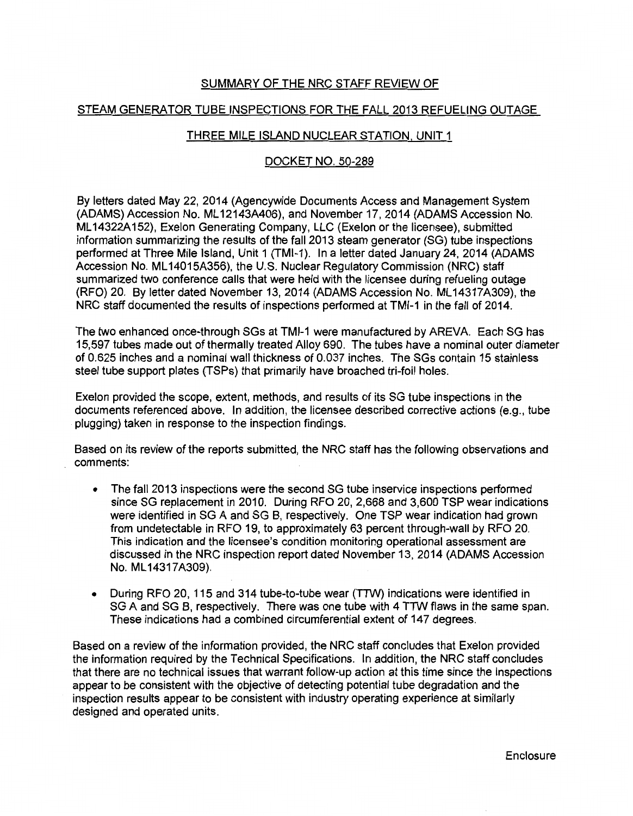# SUMMARY OF THE NRC STAFF REVIEW OF

## STEAM GENERATOR TUBE INSPECTIONS FOR THE FALL 2013 REFUELING OUTAGE

## THREE MILE ISLAND NUCLEAR STATION. UNIT 1

### DOCKET NO. 50-289

By letters dated May 22, 2014 (Agencywide Documents Access and Management System (ADAMS) Accession No. ML 12143A406), and November 17, 2014 (ADAMS Accession No. ML14322A152), Exelon Generating Company, LLC (Exelon or the licensee), submitted information summarizing the results of the fall 2013 steam generator (SG) tube inspections performed at Three Mile Island, Unit 1 (TMl-1). In a letter dated January 24, 2014 (ADAMS Accession No. ML 14015A356), the U.S. Nuclear Regulatory Commission (NRC) staff summarized two conference calls that were held with the licensee during refueling outage (RFO) 20. By letter dated November 13, 2014 (ADAMS Accession No. ML 14317A309), the NRC staff documented the results of inspections performed at TMl-1 in the fall of 2014.

The two enhanced once-through SGs at TMl-1 were manufactured by AREVA. Each SG has 15,597 tubes made out of thermally treated Alloy 690. The tubes have a nominal outer diameter of 0.625 inches and a nominal wall thickness of 0.037 inches. The SGs contain 15 stainless steel tube support plates (TSPs) that primarily have broached tri-foil holes.

Exelon provided the scope, extent, methods, and results of its SG tube inspections in the documents referenced above. In addition, the licensee described corrective actions (e.g., tube plugging) taken in response to the inspection findings.

Based on its review of the reports submitted, the NRC staff has the following observations and comments:

- The fall 2013 inspections were the second SG tube inservice inspections performed since SG replacement in 2010. During RFO 20, 2,668 and 3,600 TSP wear indications were identified in SG A and SG B, respectively. One TSP wear indication had grown from undetectable in RFO 19, to approximately 63 percent through-wall by RFO 20. This indication and the licensee's condition monitoring operational assessment are discussed in the NRC inspection report dated November 13, 2014 (ADAMS Accession No. ML 14317A309).
- During RFO 20, 115 and 314 tube-to-tube wear (TTW) indications were identified in SG A and SG B, respectively. There was one tube with 4 TTW flaws in the same span. These indications had a combined circumferential extent of 147 degrees.

Based on a review of the information provided, the NRC staff concludes that Exelon provided the information required by the Technical Specifications. In addition, the NRC staff concludes that there are no technical issues that warrant follow-up action at this time since the inspections appear to be consistent with the objective of detecting potential tube degradation and the inspection results appear to be consistent with industry operating experience at similarly designed and operated units.

Enclosure